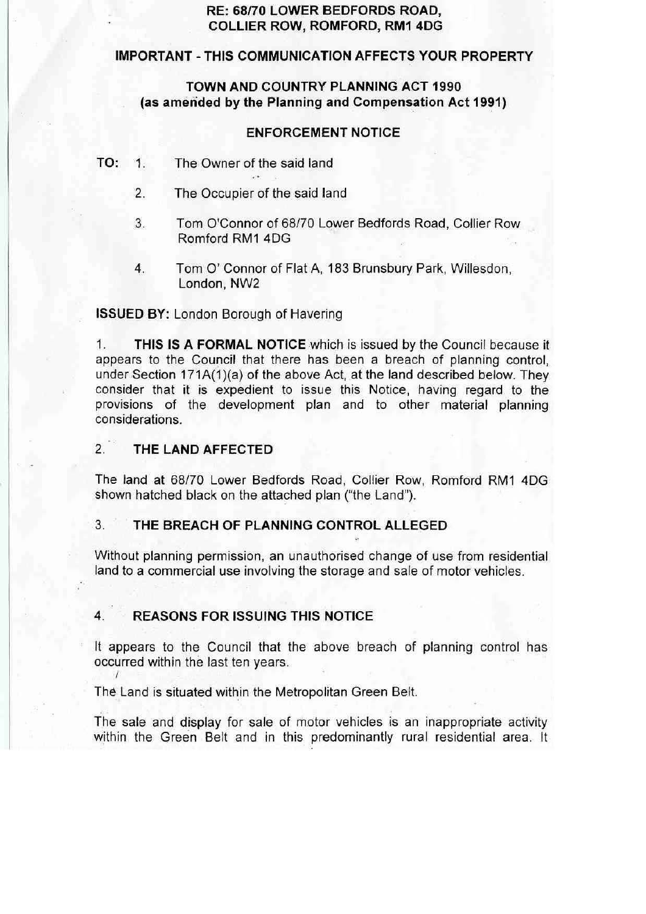# **RE: 68/70 LOWER BEDFORDS ROAD, COLLIER ROW, ROMFORD, RM1 4DG**

## **IMPORTANT - THIS COMMUNICATION AFFECTS YOUR PROPERTY**

## **TOWN AND COUNTRY PLANNING ACT 1990**  (as amended by the Planning and Compensation Act 1991)

## **ENFORCEMENT NOTICE**

- **TO:** 1. The Owner of the said land<br>2. The Occupier of the said land
	-
	- .3. Tom O'Connor of 68/70 Lower Bedfords Road, Collier Row Romford RM1 4OG
	- 4. Tom O' Connor of Flat A, 183 Brunsbury Park, Willesdon, London, NW2

## **ISSUED BY:** London Borough of Havering

1. **THIS IS A FORMAL NOTICE** which is issued by the Council because it appears to the Council that there has been a breach of planning control, under Section 171A(1)(a) of the above Act, at the land described below. They consider that it is expedient to issue this Notice, having regard to the provisions of the development plan and to other material planning considerations.

## 2. **THE LAND AFFECTED**

I

The land at 68/70 Lower Bedfords Road, Collier Row, Romford RM1 4OG shown hatched black on the attached plan ("the Land").

# 3. **THE BREACH OF PLANNING CONTROL ALLEGED**

Without planning permission, an unauthorised change of use from residential land to a commercial use involving the storage and sale of motor vehicles.

# 4. **REASONS FOR ISSUING THIS NOTICE**

It appears to the Council that the above breach of planning control has occurred within the last ten years.

The Land is situated within the Metropolitan Green Belt.

The sale and display for sale of motor vehicles is an inappropriate activity within the Green Belt and in this predominantly rural residential area. It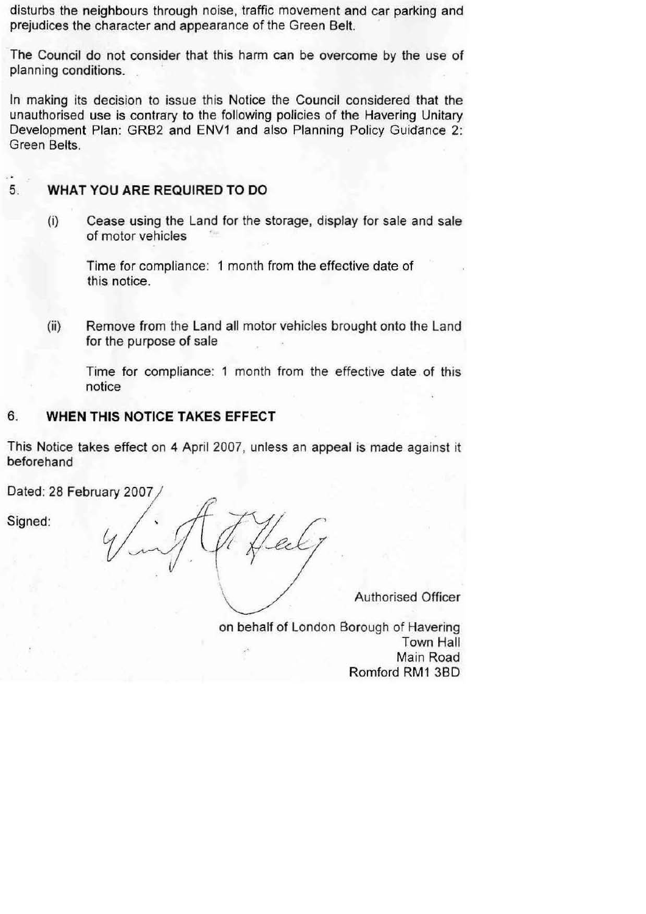disturbs the neighbours through noise, traffic movement and car parking and prejudices the character and appearance of the Green Belt.

The Council do not consider that this harm can be overcome by the use of planning conditions. .

In making its decision to issue this Notice the Council considered that the unauthorised use is contrary to the following policies of the Havering Unitary Development Plan: GRB2 and ENV1 and also Planning Policy Guidance 2: Green Belts.

# 5. **WHAT YOU ARE REQUIRED TO DO**

(i) Cease using the Land for the storage, display for sale and sale of motor vehicles ·

Time for compliance: 1 month from the effective date of this notice.

(ii) Remove from the Land all motor vehicles brought onto the Land for the purpose of sale

Time for compliance: 1 month from the effective date of this notice

# 6. **WHEN THIS NOTICE TAKES EFFECT**

This Notice takes effect on **4** April 2007, unless an appeal is made against it beforehand

Dated: 28 February 2007

Signed:

Authorised Officer

on behalf of London Borough of Havering Town Hall Main Road Romford RM1 380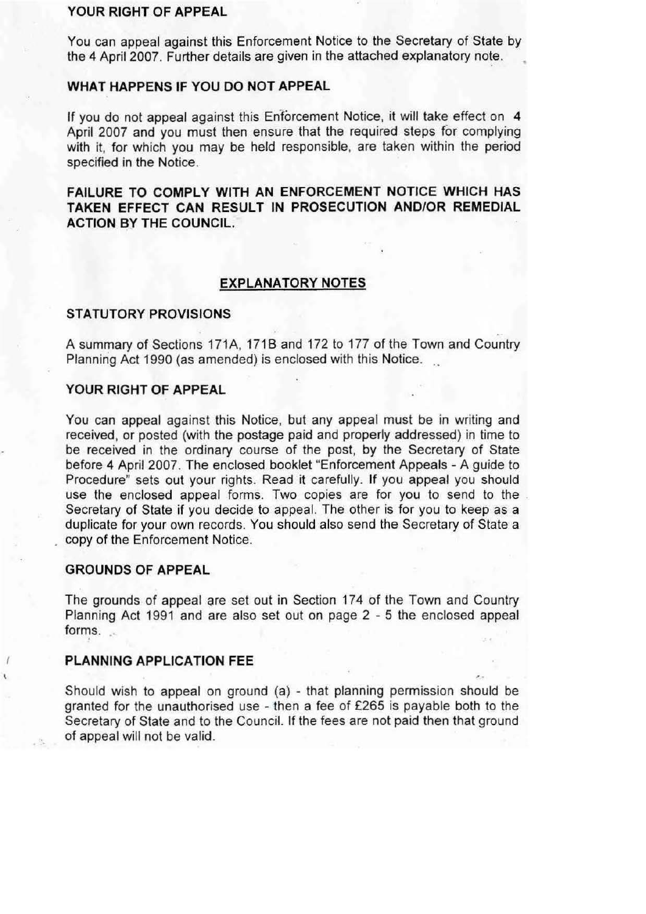#### **YOUR RIGHT OF APPEAL**

You can appeal against this Enforcement Notice to the Secretary of State by the 4 April 2007. Further details are given in the attached explanatory note.

#### **WHAT HAPPENS IF YOU DO NOT APPEAL**

If you do not appeal against this Enforcement Notice, it will take effect on 4 April 2007 and you must then ensure that the required steps for complying with it, for which you may be held responsible, are taken within the period specified in the Notice.

**FAILURE TO COMPLY WITH AN ENFORCEMENT NOTICE WHICH HAS TAKEN EFFECT CAN RESULT IN PROSECUTION ANO/OR REMEDIAL ACTION BY THE COUNCIL.** 

## **EXPLANATORY NOTES**

#### **STATUTORY PROVISIONS**

A summary of Sections 171A, 171B and 172 to 177 of the Town and Country Planning Act 1990 (as amended) is enclosed with this Notice.

## **YOUR RIGHT OF APPEAL**

You can appeal against this Notice, but any appeal must be in writing and received, or posted (with the postage paid and properly addressed) in time to be received in the ordinary course of the post, by the Secretary of State before 4 April 2007. The enclosed booklet "Enforcement Appeals - A guide to Procedure" sets out your rights. Read it carefully. If you appeal you should use the enclosed appeal forms. Two copies are for you to send to the Secretary of State if you decide to appeal. The other is for you to keep as a duplicate for your own records. You should also send the Secretary of State a copy of the Enforcement Notice.

#### **GROUNDS OF APPEAL**

The grounds of appeal are set out in Section 174 of the Town and Country Planning Act 1991 and are also set out on page 2 - 5 the enclosed appeal forms.  $\mathcal{L}$ 

## **PLANNING APPLICATION FEE**

Should wish to appeal on ground (a) - that planning permission should be granted for the unauthorised use - then a fee of £265 is payable both to the Secretary of State and to the Council. If the fees are not paid then that ground of appeal will not be valid.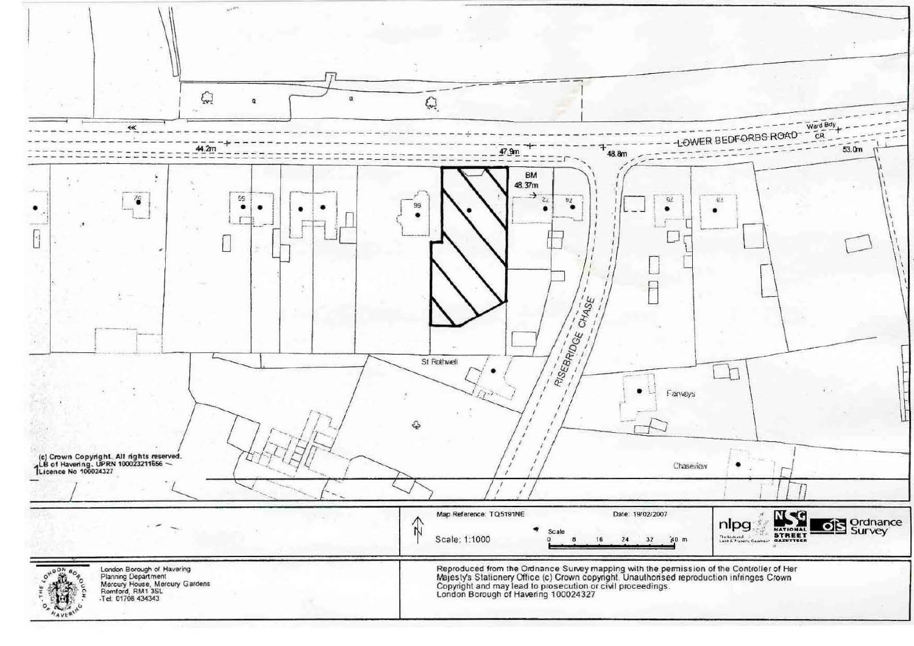